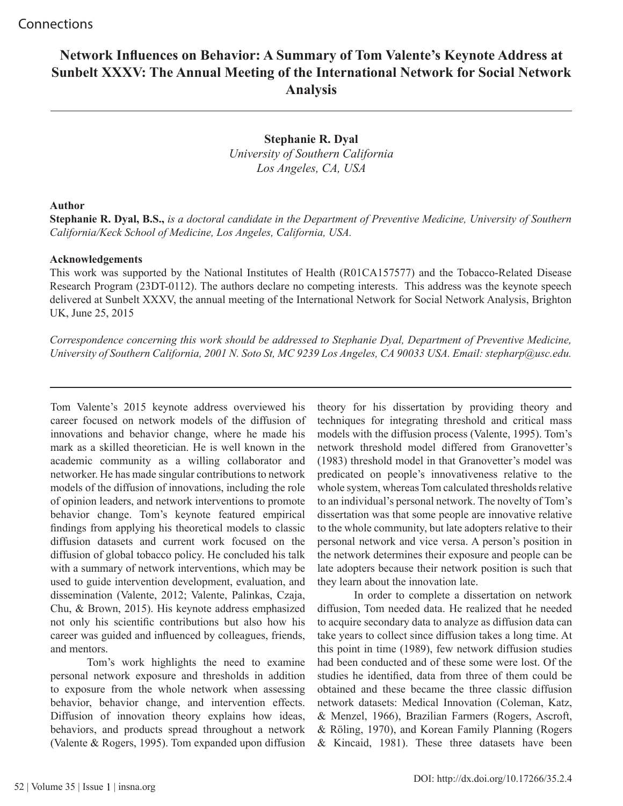## **Network Influences on Behavior: A Summary of Tom Valente's Keynote Address at Sunbelt XXXV: The Annual Meeting of the International Network for Social Network Analysis**

**Stephanie R. Dyal** *University of Southern California Los Angeles, CA, USA*

## **Author**

**Stephanie R. Dyal, B.S.,** *is a doctoral candidate in the Department of Preventive Medicine, University of Southern California/Keck School of Medicine, Los Angeles, California, USA.*

## **Acknowledgements**

This work was supported by the National Institutes of Health (R01CA157577) and the Tobacco-Related Disease Research Program (23DT-0112). The authors declare no competing interests. This address was the keynote speech delivered at Sunbelt XXXV, the annual meeting of the International Network for Social Network Analysis, Brighton UK, June 25, 2015

*Correspondence concerning this work should be addressed to Stephanie Dyal, Department of Preventive Medicine, University of Southern California, 2001 N. Soto St, MC 9239 Los Angeles, CA 90033 USA. Email: stepharp@usc.edu.*

Tom Valente's 2015 keynote address overviewed his career focused on network models of the diffusion of innovations and behavior change, where he made his mark as a skilled theoretician. He is well known in the academic community as a willing collaborator and networker. He has made singular contributions to network models of the diffusion of innovations, including the role of opinion leaders, and network interventions to promote behavior change. Tom's keynote featured empirical findings from applying his theoretical models to classic diffusion datasets and current work focused on the diffusion of global tobacco policy. He concluded his talk with a summary of network interventions, which may be used to guide intervention development, evaluation, and dissemination (Valente, 2012; Valente, Palinkas, Czaja, Chu, & Brown, 2015). His keynote address emphasized not only his scientific contributions but also how his career was guided and influenced by colleagues, friends, and mentors.

Tom's work highlights the need to examine personal network exposure and thresholds in addition to exposure from the whole network when assessing behavior, behavior change, and intervention effects. Diffusion of innovation theory explains how ideas, behaviors, and products spread throughout a network (Valente & Rogers, 1995). Tom expanded upon diffusion

theory for his dissertation by providing theory and techniques for integrating threshold and critical mass models with the diffusion process (Valente, 1995). Tom's network threshold model differed from Granovetter's (1983) threshold model in that Granovetter's model was predicated on people's innovativeness relative to the whole system, whereas Tom calculated thresholds relative to an individual's personal network. The novelty of Tom's dissertation was that some people are innovative relative to the whole community, but late adopters relative to their personal network and vice versa. A person's position in the network determines their exposure and people can be late adopters because their network position is such that they learn about the innovation late.

In order to complete a dissertation on network diffusion, Tom needed data. He realized that he needed to acquire secondary data to analyze as diffusion data can take years to collect since diffusion takes a long time. At this point in time (1989), few network diffusion studies had been conducted and of these some were lost. Of the studies he identified, data from three of them could be obtained and these became the three classic diffusion network datasets: Medical Innovation (Coleman, Katz, & Menzel, 1966), Brazilian Farmers (Rogers, Ascroft, & Röling, 1970), and Korean Family Planning (Rogers & Kincaid, 1981). These three datasets have been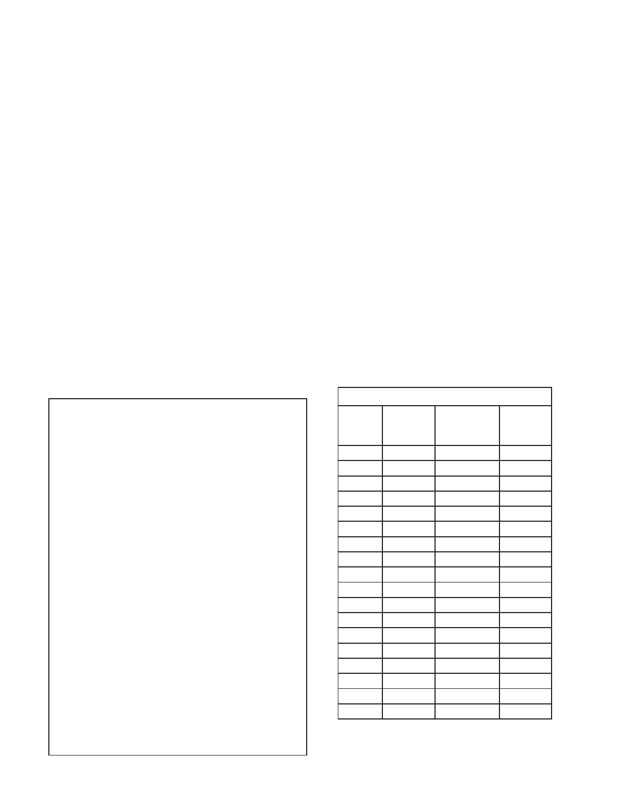submitted to Connection's data exchange network ametwork exposure. Using this methodology, Tom began will also be made available for use in UCINET as wehlis dissertation work assessing if cohesion or structural as in netdiffuseR, a new R package Tom is developieguivalence exposures were associated with behavioral with George G. Vega Yon. To appreciate the challenges botion using two of the three classic diffusion of obtaining these data in a pre-internet era, Tom shaned work datasets. He found that the time tendencies some stories about how he got them. One story related to different for the 3 studies, as shown in Table 1. obtaining the Korean Family Planning data, which Rogerbe results suggested that there was no time tendency had given to Mark Granovetter, the Sunbelt X keynofter the medical innovation data, late adoption for the speaker. Tom wrote to Granovetter who replied with Korean family planning data, and negative, then positive letter from Mark's colleague Dr. Roland Song (Figure ti) me effects for the Brazilian farmers data. In Table 2, along with the only copy of the data which was stored o $\Delta$ HVHHWKDWH[SRVXUHKDGDSRVI a Vax 750 tape, a data storage format that was outdated ption for the Brazilian farmers study, but that there even at this point in time (1990). was no "contagion" effect for the other two studies. (NB:

Tom outlined the methods for and results from or Tom's dissertation he only had acquired the Korean analyzing network exposure effects in the three classiamily Planning and Medical Innovation data, neither of diffusion datasets. The data were transformed to an evehich showed network effects.) This was alarming for history dataset, where each person has multiple rowtom as diffusion of innovation theory suggests that the in the dataset, one row for each year when they did diffusion effect, the increasing interpersonal pressure to adopt and one row for the year they did, and a binaDyGRSW DQLQQRYDWLRQDVLWGLII variable indicating adoption status for each time point.KLV ¿QGLQJ OHG 7RP WR GHYHORS Then, a discrete hazard model was calculated includingdel (Valente, 1996).

effects for time, socioeconomic factors, degree, and

Figure 1: Letter accompanying Korean Family Planning Dataset

|                             | Table 1 Time tendences for likelihoods of adoption for the three |
|-----------------------------|------------------------------------------------------------------|
| classic diffusion datasets. |                                                                  |

| Likelihood of Adoption |                                    |                                      |                                             |  |  |
|------------------------|------------------------------------|--------------------------------------|---------------------------------------------|--|--|
|                        | Medical<br>Innovation<br>$N = 868$ | Korean Fam.<br>Planning<br>$N=6,356$ | <b>Brazilian</b><br>Farmers<br>$N = 10,085$ |  |  |
| Time 2                 | 1.11                               | 1.27                                 | $0.10*$                                     |  |  |
| Time 3                 | 1.31                               | 1.26                                 | $0.10*$                                     |  |  |
| Time 4                 | 1.61                               | 1.14                                 | 0.59                                        |  |  |
| Time 5                 | 2.20                               | 1.47                                 | $3.37**$                                    |  |  |
| Time 6                 | 2.80                               | $1.60*$                              | 0.29                                        |  |  |
| Time 7                 | $3.71*$                            | $1.66*$                              | 0.29                                        |  |  |
| Time 8                 | 2.09                               | 1.48                                 | 1.41                                        |  |  |
| Time 9                 | 1.52                               | $2.65**$                             | 0.29                                        |  |  |
| Time 10                | 0.53                               | $1.96**$                             | $11.4**$                                    |  |  |
| Time 11                | 3.14                               |                                      | 0.70                                        |  |  |
| Time 12                | 2.20                               |                                      | $5.65**$                                    |  |  |
| Time 13                | 1.55                               |                                      | $2.26*$                                     |  |  |
| Time 14                | 3.73                               |                                      | $6.01**$                                    |  |  |
| Time 15                | $4.85*$                            |                                      | 11.54                                       |  |  |
| Time 16                | 1.17                               |                                      | $11.67***$                                  |  |  |
| Time 17                | 1.24                               |                                      | $18.1**$                                    |  |  |
| Time 18                |                                    |                                      | $16.9**$                                    |  |  |
| Time 19                |                                    |                                      | 22.26**                                     |  |  |

Note: \*indicates  $p < .05$ , \*\* indicates  $p < .01$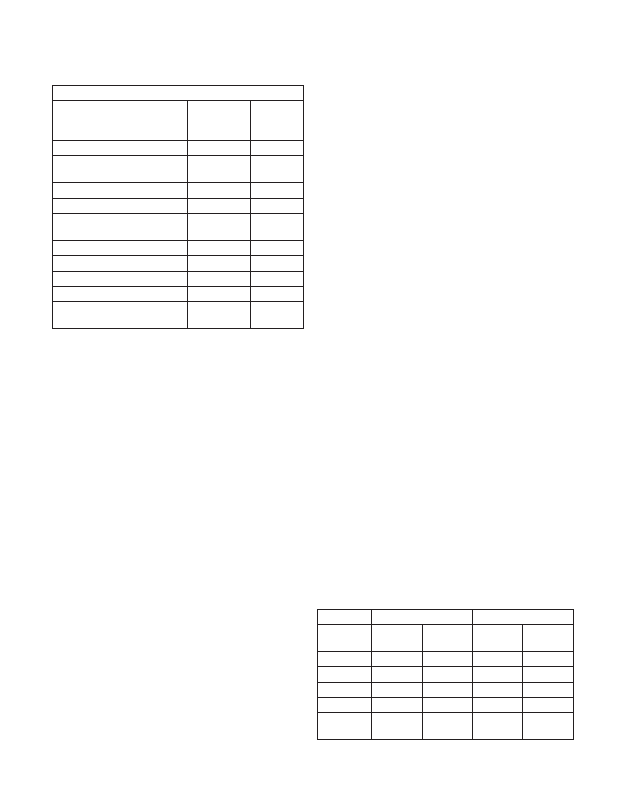Table 2: Predictors of likelihood of adoption for the three classion. Many media interventions may be effective through diffusion studies (controlling for time dummies (Table 1)).

| Likelihood of Adoption |                                    |                                    |                                             |  |  |  |
|------------------------|------------------------------------|------------------------------------|---------------------------------------------|--|--|--|
|                        | Medical<br>Innovation<br>$N = 868$ | Korean Faml<br>Planning<br>N=6,356 | <b>Brazilian</b><br>Farmers<br>$N = 10,085$ |  |  |  |
| Detail Agents          | 1.27                               |                                    |                                             |  |  |  |
| Science<br>Orientation | $0.60**$                           |                                    |                                             |  |  |  |
| Journals Subs.         | $1.63*$                            |                                    |                                             |  |  |  |
| # Sons                 |                                    | $1.43**$                           |                                             |  |  |  |
| Media Camp.<br>Exp.    |                                    | $1.10**$                           |                                             |  |  |  |
| Income                 |                                    |                                    | $1.18**$                                    |  |  |  |
| <b>Visits to City</b>  |                                    |                                    | 1.00                                        |  |  |  |
| Out Degree             | 0.96                               | 1.05                               | 0.98                                        |  |  |  |
| In Degree              | 1.04                               | $1.06***$                          | $1.02*$                                     |  |  |  |
| Exposure<br>(Cohesion) | 0.94                               | 1.16                               | $2.16**$                                    |  |  |  |

Note:  $*$  indicates  $p < .05$ ,  $**$  indicates  $p < .01$ 

peer communication and assessing media effects using the threshold model may prove useful when conducting such studies.

Tom pointed out that the problem with network diffusion studies conducted to date is that they have used static measures of networks and adoption data are often retrospective recall or from incomplete records. One of his recent projects is attempting to correct this shortcoming by analyzing diffusion with complete adoption data and multiple, dynamic networks. This project was instigated when Tom heard about GLOBALink, an electronic forum which was developed to facilitate communication on global tobacco control issues. One of the outcomes of tobacco control advocates' work has been the creation, UDWL¿FDWLRQ DQG LPSOHPHQWDV Convention on Tobacco Control (FCTC) Treaty. GLOBALink consisted of about 7,000 members over its 20-year history, providing a large dataset with multiple networks for diffusion network analysis.

The advantages of the FCTC diffusion data are that the adoption data are accurate, there is no missing data, and there are multiple, dynamic networks. The

While working on an evaluation of a media campaig to promote family planning in Bolivia, Tom found that the campaign did not increase contraceptive use. He had international trade and GLOBALink networks using hypothesized that the combined effect of mass media<sup>ndiar</sup> methodology to that used on the classic diffusion dispositions and that the communication exposures would result as Results of this study indicate that exposure to and interpersonal communication exposures would result a window of the study of the study of the study of th and interpersental communication expectation modify UHDW\UDWL¿FDWLRQ LV SUHGLFW<br>be associated with contraceptive use, but the data did<sup>U</sup>HDW\UDWL¿FDWLRQ LV SUHGLFW ORW VXSSRUW WKLV \$W WKLV<sup>TO</sup>SPPPOPUT ZDV DW KLV ¿UVW MRE working in a staff evaluation position at the Center for Communication Programs at Johns Hopkins University. with this dataset than just test prior theories. This inspired Not wanting to report back to the program developers him to develop a dynamic model of diffusion effects that their program was not effective, Tom applied the  $LJXUH$ that then program has not enceave, form applied with  $I$  WHUQDO LQÀXHQFH DQG WKH U<br>threshold model from his dissertation. Table 3 presents  $I$  with  $I$  and  $I$  and  $I$  and  $I$  and  $I$  and  $I$  and  $I$ the results of the Bolivian campaign analysis when the JJUHJDWLQJ UHVHDUFK ¿QGLQJV I GDWD DUH VWUDWL¿HG E\ SHUVRQDO QHWZRUN WKUHVKROG OHYHO The Bolivia data showed that women with low thresholds LQÀXHQFHV RI FRXQWU\ DWWULEXW UDWL¿FDWLRQV RI RWKHU FRXQWl Tom wanted to do something more interesting WELLIXUH ZKLFK LQFOXGHV SHHU

to adoption reported higher exposures to the media  $\frac{1}{2}$  and  $\frac{1}{2}$  and  $\frac{1}{2}$  and  $\frac{1}{2}$  and  $\frac{1}{2}$  and  $\frac{1}{2}$  and  $\frac{1}{2}$  and  $\frac{1}{2}$  and  $\frac{1}{2}$  and  $\frac{1}{2}$  and  $\frac{1}{2}$  and  $\frac{1}{2}$  and  $\$ campaign. The campaign was effective primarily for the Saba, 1998). women with low thresholds, in both panel and cross-Y"RU %ROLYLDQ FRQWUDFHSWLRQ VWXG\ VW

sectional analyses. The threshold model provides a way WR PHDVXUH WKH WZR VWHS ARZ (Valente & Saba, 1998). More than just modeling a theory, this research suggests that intervention effects may be  $\frac{1.35}{2}$  missed if network thresholds to adoption are ignored.  $\frac{1.35}{2}$  1.35<sup>\*\*</sup> 1.75<sup>\*\*</sup> 1.31 1.4 Tom's analysis found that health media campaigns  $h$   $R_{\text{c}^{\text{LO}^{\text{me}}}$  and  $1.35**$  and  $1.17$  and  $1.13$  and  $0.97$ effective, but mostly worked by increasing contraceptiveleruse for those people lacking contraceptive users in the Children | 1.15 | 1.2 | 1.05 | 1.21 network (Valente & Saba, 1998). This study suggested ampaign that media interventions may interact with social network xposure tional: Low Threshold High Threshold Low Threshold High Threshold  $0.92**$  0.92\*\* 0.98 0.98 2.36\*\* 1.92 1.71\* 1.26

characteristics: Exposure, position, embeddedness, and sole:  $*$  indicates p < .05,  $**$  indicates p < .01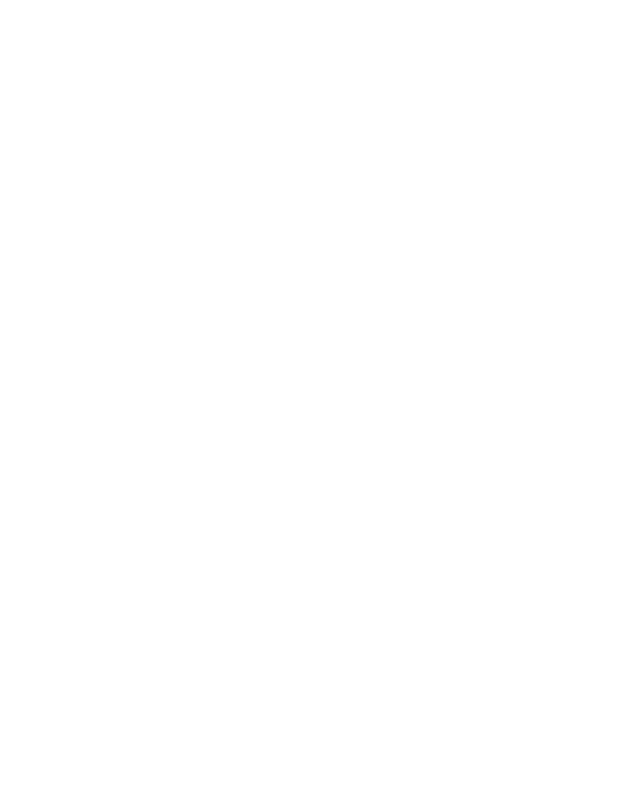diffusion research. The model proposes that exter 2006). Tom proposed that many research avenues remain  $LQ$ ÀXHQFH GHFD\V RYHU WLPH un terkploorted Fin WhethRoCik in the true to the SSRS Unctive as when the initial ON DQG GHFD\VRYHU WLPH SHHU ELHQWAWWHIQUFWHRLQGUHQDWLHIWJUDROXGSWWKJHVI role of opinion leaders varies. We have tested the mod&IK HP RU LGHQWLI\ OHDGHUV ¿UVW on the FCTC diffusion data and found partial support fttrem, comparing different network approaches, and how its components. This work is currently being expandedntextual factors affect network interventions. upon in the Global Diffusion of Tobacco Control study Tom's approach to his work focuses on examining

9DOHQWH '\DO &KX :LSÀL Tom has translated his empirical and theoreticand derstand the behavior of a network, he considers how work from network diffusion research to provideach individual node views its network and that each node a framework for the use of social network data t $\bf\delta$  DQ <code>KDYH</code> <code>D</code> <code>XQLTXH</code> <code>UHVSRQVH</code> WR design, adopt, implement and sustain behavior changualculating thresholds from nodes' personal networks, interventions (Valente, 2012; Valente, Palinkas, et aP, R G H O L Q J H I I H F W V R I S X E O L F K H D O 2015). Research documenting the association betwere and acknowledging that leaders are only leaders networks and behavior spurred researchers in the 1990fotosome nodes in a network all suggest attention paid to pose this question: "If networks are so important how chaterogeneity in nodes' perceptions of their network and they be used to accelerate change?" Many interventio@sR G H V ¶ V X V F H S W L E L O L W \ D Q G L Q À X have used the opinion leader model where opinion dividual variation within networks, Tom would not OHDGHUV DUH LGHQWL¿HG WKU**RENYKHWRHFHLQDOW KQHWLZORAUXINHQDFQHDQRVVLQWD**F recruited to be change agents who give talks and promotennovation adoption in the classic diffusion studies, or a new practice during informal conversations. Tom aindhis later research. ) the Whele by Proking at the parts. That is, in order to

his wife, Dr. Rebecca Davis expanded on the opinion leader model with their observation that leaders arethe real world with his work in network interventions necessarily leaders for everyone. They published a papred evaluations of health campaigns. Many interventions proposing the optimal Leader/Learner model in which revaluated without considering thresholds. Some OHDGHUV DUH LGHQWL¿HG DQGinterWeinhtions PindyWharvek bleen die Brindal Knehfe erivhe PwEnehilUV who nominated them (Valente & Davis, 1999). Thishey actually made a difference for people with low model was tested in a randomized control trial and fouthdesholds and low exposure. If we know that media to be more effective than when leaders are chosen initerventions may not affect those people with high network nominations but groups constructed randomtlyresholds, what is the best intervention design to reach (Valente, Hoffman, Ritt-Olson, Lichtman, & Johnsorthese people? Similarly, how do we identify those people 2003; Valente, Unger, Ritt-Olson, Cen, & Johnsolikely to have low thresholds prior to diffusion occurring Tom proves that his theories are applicable to

Figure 2: Hypothesized dynamic model of diffusion effects (from Valente et al., 2015).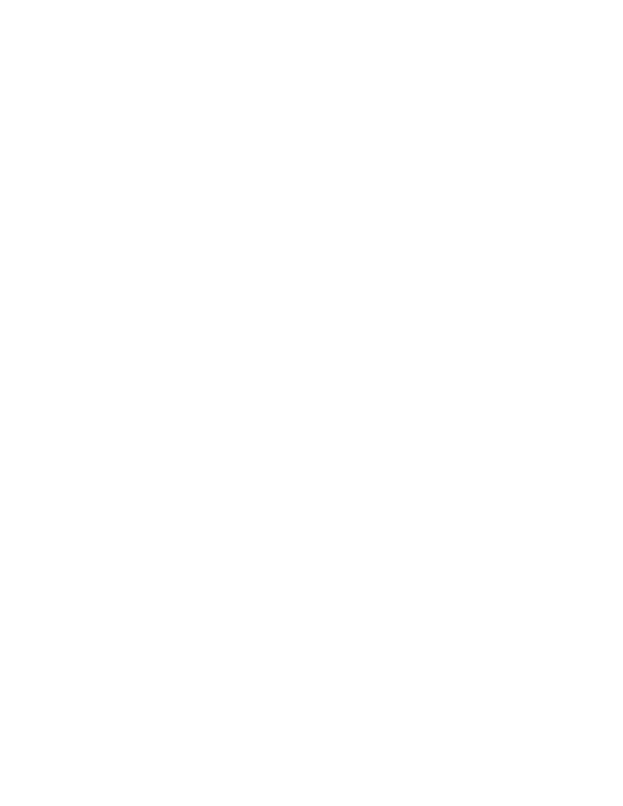in order to design campaign advertising to reach these people?

Tom's research has spanned from studying societies where interpersonal communication occurs in person to studying communication enabled by the internepgers, E. M., Ascroft, J. R., & Röling, N. G. (1970). Understanding how technology affects communication may prove important in future diffusion research. Work by Tom and his former graduate student Dr. Grace Huang suggests that exposure through social networking siresgers, E. M., & Kincaid, D. L. (1981). Communication to photos of friends participating in risky activities may LQÀXHQFH DQ DGROHVFHQW¶V RZQ<sup>New</sup>LVOKK: ELANROODY LERREU V<sup>Press</sup>; *C*ollier J et al., 2014). It is unclear how technology affects explicit and implicit endorsement, how people interpreflente, T. W. (1995). Network models of the diffusion of information received through social media in comparison to in person, and how exposure and thresholds may be nte, T. W. (1996). Social network thresholds in affected by technology. In sum, Tom has provided theoretical models, empirical research, and practical intervention applications for diffusion of innovation theory. He stated that we alente, T. W. (2012). Network Intervention Science NQRZ QHWZRUNV LQÀXHQFH EHKDY387K60990),LQ49-558RIRUTAGO.org/1026126/ diverse ways, and diffusion theory provides a way to FRPSDUH QHWZRUN LQÀXHQFHVVa#ende, ETHMK, D&YDamAsuRDLQ(G99@)HACCOMPTEMENTUDEO LQÀXHQFHV RQ QHWZRUNV +LV UHVPIIIDUPI RI IPITONA PIOLISIDING PIOLISIDERI-HG to guide network research with theories and frameworks. However, his speech highlighted more than just his research contributions. Tom detailed how his career was LQÀXHQFHG E\KLV RZQ VRFLDO9@PPW@RWUN ZOOHG\QOWPRPAQWAKUV . colleagues, and collaborators. His mentor, Dr. Everett Rogers, encouraged him to connect with other scholars and made sure he realized there were people behind the authors. Tom and Everett even conducted oral history interviews with about a dozen diffusion scholars from which Tom learned more about diffusion research than *Ye*lente, T. W., Hoffman, B. R., Ritt-Olson, A., Lichtman, ever did reading about it. Tom summarized his career so IDU E\VD\LQJWKDWQHWZRUNVPDW\$?@Wi4H-Network Method for FGROED ASSPIGEDMPREUV and colleagues is critically important, and that it takes time to build a career. Tom has certainly demonstrated these ideals as a researcher. Health, 54(5), 508–514. http://doi.org/10.1016/j. jadohealth.2013.07.001 Diffusion of innovations in Brazil, Nigeria, and India (Unpublished Report). East Lansing: Dept. of Communication, Michigan State University. networks: toward a new paradigm for research. Macmillan. innovations. Cresskill, N.J: Hampton Press. the diffusion of innovationsSocial Networks 18(1), 69–89. http://doi.org/10.1016/0378- 8733(95)00256-1 science.1217330 The ANNALS of the American Academy of Political and Social Science566(1), 55-67. http://doi.org/10.1177/0002716299566001005 Fujimoto, K. (2015). Diffusion of innovations theory applied to global tobacco control  $W \cup H \cup W \setminus U$ Social Science & RMedicine (1982), 145, 89–97. http://doi.org/10.1016/j. socscimed.2015.10.001 K., & Johnson, C. A. (2003). Effects of a Strategies on Peer-Led Tobacco Prevention Programs in SchoolsAmerican Journal of Public Health, 93(11), 1837–1843. http://doi. org/10.2105/AJPH.93.11.1837

5HIHUHQFHV

- Coleman, J. S., Katz, E., & Menzel, H. (1966). Medical innovation: A diffusion study. New York: Bobbs-Merrill Co.
- Granovetter, M., & Soong, R. (1983). Threshold models of diffusion and collective behaviorhe Journal of Mathematical Sociolog (3), 165–179. http:// doi.org/10.1080/0022250X.1983.9989941

M. A., Jordan-Marsh, M., & Valente, T. W. 3HHU ,QÀXHQFHV 7KH

Valente, T. W., Palinkas, L. A., Czaja, S., Chu, K.-H., & Brown, C. H. (2015). Social Network Analysis for Program Implementation.PLOS ONE 10(6), e0131712. http://doi.org/10.1371/journal. pone.0131712

DQG 2IÀLQH )ULHQGVKLS 1HWZF

Smoking and Alcohol Use burnal of Adolescent

- Valente, T. W., & Rogers, E. M. (1995). The Origins and Development of the Diffusion of Innovations 3DUDGLJP DV DQ ([DPSOH RI 61 Science Communication 6(3), 242–273. http:// doi.org/10.1177/1075547095016003002
- Huang, G. C., Unger, J. B., Soto, D., Fujimoto, K., Pentz, Malente, T. W., & Saba, W. P. (1998). Mass Media and ,QWHUSHUVRQDO ,QÀXHQFH L plealth Gommunication Gampaign in Bolivia.